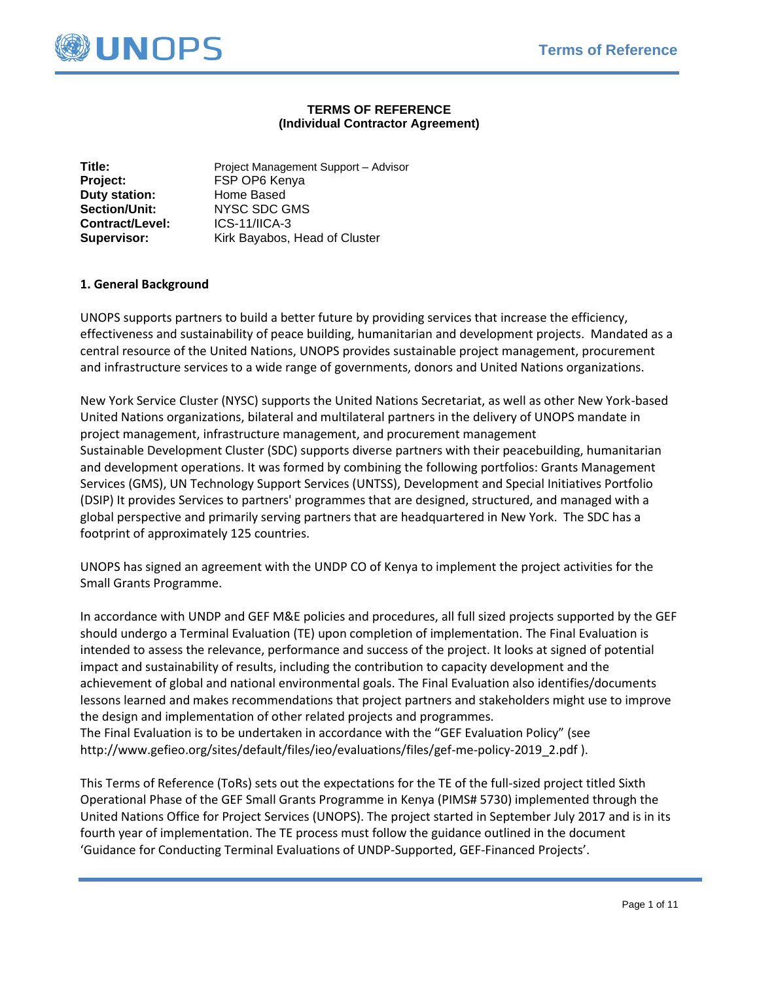

## **TERMS OF REFERENCE (Individual Contractor Agreement)**

| Title:               | Project Management Support - Advisor |
|----------------------|--------------------------------------|
| Project:             | FSP OP6 Kenya                        |
| Duty station:        | Home Based                           |
| <b>Section/Unit:</b> | <b>NYSC SDC GMS</b>                  |
| Contract/Level:      | $ICS-11/ICA-3$                       |
| <b>Supervisor:</b>   | Kirk Bayabos, Head of Cluster        |

### **1. General Background**

UNOPS supports partners to build a better future by providing services that increase the efficiency, effectiveness and sustainability of peace building, humanitarian and development projects. Mandated as a central resource of the United Nations, UNOPS provides sustainable project management, procurement and infrastructure services to a wide range of governments, donors and United Nations organizations.

New York Service Cluster (NYSC) supports the United Nations Secretariat, as well as other New York-based United Nations organizations, bilateral and multilateral partners in the delivery of UNOPS mandate in project management, infrastructure management, and procurement management Sustainable Development Cluster (SDC) supports diverse partners with their peacebuilding, humanitarian and development operations. It was formed by combining the following portfolios: Grants Management Services (GMS), UN Technology Support Services (UNTSS), Development and Special Initiatives Portfolio (DSIP) It provides Services to partners' programmes that are designed, structured, and managed with a global perspective and primarily serving partners that are headquartered in New York. The SDC has a footprint of approximately 125 countries.

UNOPS has signed an agreement with the UNDP CO of Kenya to implement the project activities for the Small Grants Programme.

In accordance with UNDP and GEF M&E policies and procedures, all full sized projects supported by the GEF should undergo a Terminal Evaluation (TE) upon completion of implementation. The Final Evaluation is intended to assess the relevance, performance and success of the project. It looks at signed of potential impact and sustainability of results, including the contribution to capacity development and the achievement of global and national environmental goals. The Final Evaluation also identifies/documents lessons learned and makes recommendations that project partners and stakeholders might use to improve the design and implementation of other related projects and programmes. The Final Evaluation is to be undertaken in accordance with the "GEF Evaluation Policy" (see http://www.gefieo.org/sites/default/files/ieo/evaluations/files/gef-me-policy-2019\_2.pdf ).

This Terms of Reference (ToRs) sets out the expectations for the TE of the full-sized project titled Sixth Operational Phase of the GEF Small Grants Programme in Kenya (PIMS# 5730) implemented through the United Nations Office for Project Services (UNOPS). The project started in September July 2017 and is in its fourth year of implementation. The TE process must follow the guidance outlined in the document 'Guidance for Conducting Terminal Evaluations of UNDP-Supported, GEF-Financed Projects'.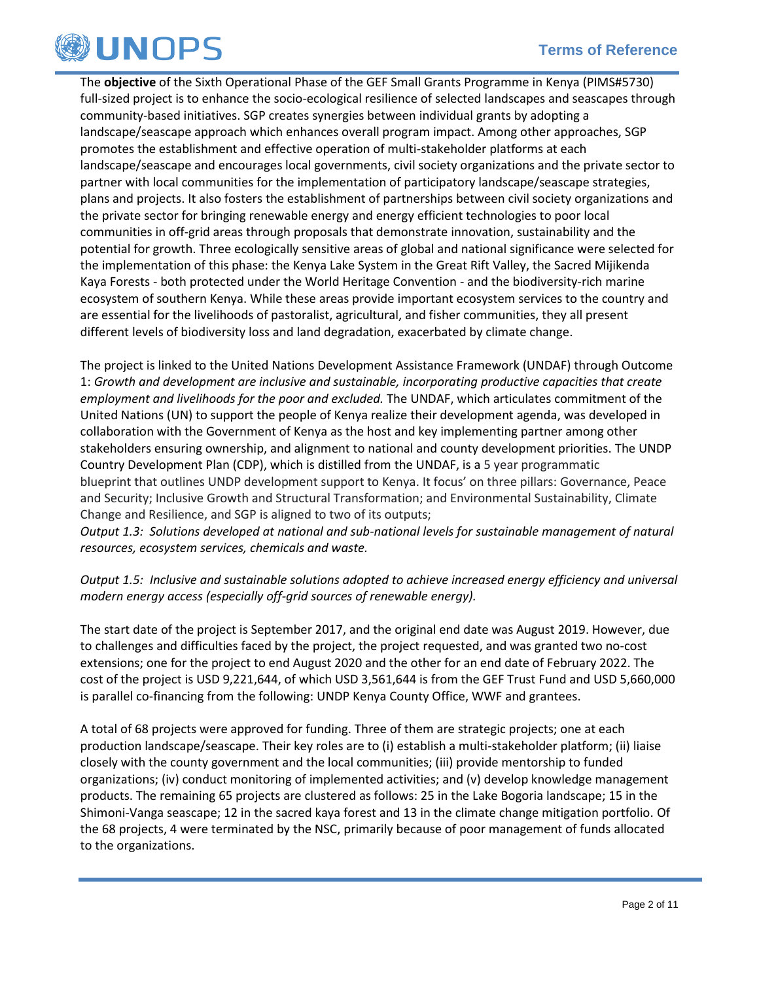

The **objective** of the Sixth Operational Phase of the GEF Small Grants Programme in Kenya (PIMS#5730) full-sized project is to enhance the socio-ecological resilience of selected landscapes and seascapes through community-based initiatives. SGP creates synergies between individual grants by adopting a landscape/seascape approach which enhances overall program impact. Among other approaches, SGP promotes the establishment and effective operation of multi-stakeholder platforms at each landscape/seascape and encourages local governments, civil society organizations and the private sector to partner with local communities for the implementation of participatory landscape/seascape strategies, plans and projects. It also fosters the establishment of partnerships between civil society organizations and the private sector for bringing renewable energy and energy efficient technologies to poor local communities in off-grid areas through proposals that demonstrate innovation, sustainability and the potential for growth. Three ecologically sensitive areas of global and national significance were selected for the implementation of this phase: the Kenya Lake System in the Great Rift Valley, the Sacred Mijikenda Kaya Forests - both protected under the World Heritage Convention - and the biodiversity-rich marine ecosystem of southern Kenya. While these areas provide important ecosystem services to the country and are essential for the livelihoods of pastoralist, agricultural, and fisher communities, they all present different levels of biodiversity loss and land degradation, exacerbated by climate change.

The project is linked to the United Nations Development Assistance Framework (UNDAF) through Outcome 1: *Growth and development are inclusive and sustainable, incorporating productive capacities that create employment and livelihoods for the poor and excluded.* The UNDAF, which articulates commitment of the United Nations (UN) to support the people of Kenya realize their development agenda, was developed in collaboration with the Government of Kenya as the host and key implementing partner among other stakeholders ensuring ownership, and alignment to national and county development priorities. The UNDP Country Development Plan (CDP), which is distilled from the UNDAF, is a 5 year programmatic blueprint that outlines UNDP development support to Kenya. It focus' on three pillars: Governance, Peace and Security; Inclusive Growth and Structural Transformation; and Environmental Sustainability, Climate Change and Resilience, and SGP is aligned to two of its outputs;

*Output 1.3: Solutions developed at national and sub-national levels for sustainable management of natural resources, ecosystem services, chemicals and waste.*

## *Output 1.5: Inclusive and sustainable solutions adopted to achieve increased energy efficiency and universal modern energy access (especially off-grid sources of renewable energy).*

The start date of the project is September 2017, and the original end date was August 2019. However, due to challenges and difficulties faced by the project, the project requested, and was granted two no-cost extensions; one for the project to end August 2020 and the other for an end date of February 2022. The cost of the project is USD 9,221,644, of which USD 3,561,644 is from the GEF Trust Fund and USD 5,660,000 is parallel co-financing from the following: UNDP Kenya County Office, WWF and grantees.

A total of 68 projects were approved for funding. Three of them are strategic projects; one at each production landscape/seascape. Their key roles are to (i) establish a multi-stakeholder platform; (ii) liaise closely with the county government and the local communities; (iii) provide mentorship to funded organizations; (iv) conduct monitoring of implemented activities; and (v) develop knowledge management products. The remaining 65 projects are clustered as follows: 25 in the Lake Bogoria landscape; 15 in the Shimoni-Vanga seascape; 12 in the sacred kaya forest and 13 in the climate change mitigation portfolio. Of the 68 projects, 4 were terminated by the NSC, primarily because of poor management of funds allocated to the organizations.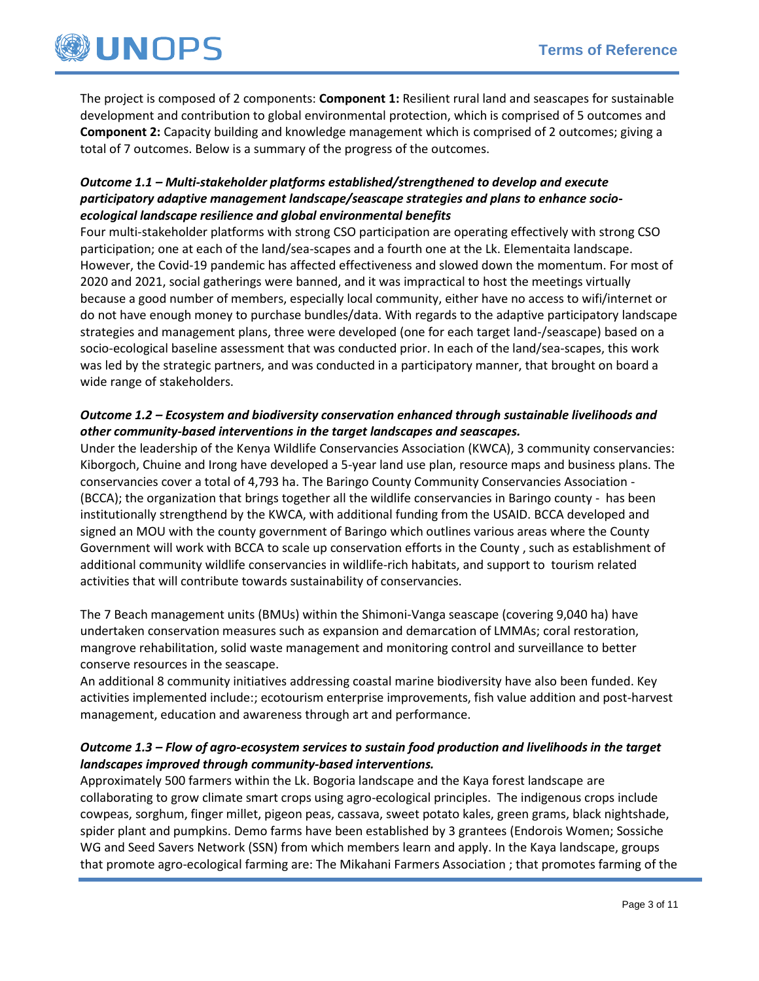

The project is composed of 2 components: **Component 1:** Resilient rural land and seascapes for sustainable development and contribution to global environmental protection, which is comprised of 5 outcomes and **Component 2:** Capacity building and knowledge management which is comprised of 2 outcomes; giving a total of 7 outcomes. Below is a summary of the progress of the outcomes.

## *Outcome 1.1 – Multi-stakeholder platforms established/strengthened to develop and execute participatory adaptive management landscape/seascape strategies and plans to enhance socioecological landscape resilience and global environmental benefits*

Four multi-stakeholder platforms with strong CSO participation are operating effectively with strong CSO participation; one at each of the land/sea-scapes and a fourth one at the Lk. Elementaita landscape. However, the Covid-19 pandemic has affected effectiveness and slowed down the momentum. For most of 2020 and 2021, social gatherings were banned, and it was impractical to host the meetings virtually because a good number of members, especially local community, either have no access to wifi/internet or do not have enough money to purchase bundles/data. With regards to the adaptive participatory landscape strategies and management plans, three were developed (one for each target land-/seascape) based on a socio-ecological baseline assessment that was conducted prior. In each of the land/sea-scapes, this work was led by the strategic partners, and was conducted in a participatory manner, that brought on board a wide range of stakeholders.

## *Outcome 1.2 – Ecosystem and biodiversity conservation enhanced through sustainable livelihoods and other community-based interventions in the target landscapes and seascapes.*

Under the leadership of the Kenya Wildlife Conservancies Association (KWCA), 3 community conservancies: Kiborgoch, Chuine and Irong have developed a 5-year land use plan, resource maps and business plans. The conservancies cover a total of 4,793 ha. The Baringo County Community Conservancies Association - (BCCA); the organization that brings together all the wildlife conservancies in Baringo county - has been institutionally strengthend by the KWCA, with additional funding from the USAID. BCCA developed and signed an MOU with the county government of Baringo which outlines various areas where the County Government will work with BCCA to scale up conservation efforts in the County , such as establishment of additional community wildlife conservancies in wildlife-rich habitats, and support to tourism related activities that will contribute towards sustainability of conservancies.

The 7 Beach management units (BMUs) within the Shimoni-Vanga seascape (covering 9,040 ha) have undertaken conservation measures such as expansion and demarcation of LMMAs; coral restoration, mangrove rehabilitation, solid waste management and monitoring control and surveillance to better conserve resources in the seascape.

An additional 8 community initiatives addressing coastal marine biodiversity have also been funded. Key activities implemented include:; ecotourism enterprise improvements, fish value addition and post-harvest management, education and awareness through art and performance.

## *Outcome 1.3 – Flow of agro-ecosystem services to sustain food production and livelihoods in the target landscapes improved through community-based interventions.*

Approximately 500 farmers within the Lk. Bogoria landscape and the Kaya forest landscape are collaborating to grow climate smart crops using agro-ecological principles. The indigenous crops include cowpeas, sorghum, finger millet, pigeon peas, cassava, sweet potato kales, green grams, black nightshade, spider plant and pumpkins. Demo farms have been established by 3 grantees (Endorois Women; Sossiche WG and Seed Savers Network (SSN) from which members learn and apply. In the Kaya landscape, groups that promote agro-ecological farming are: The Mikahani Farmers Association ; that promotes farming of the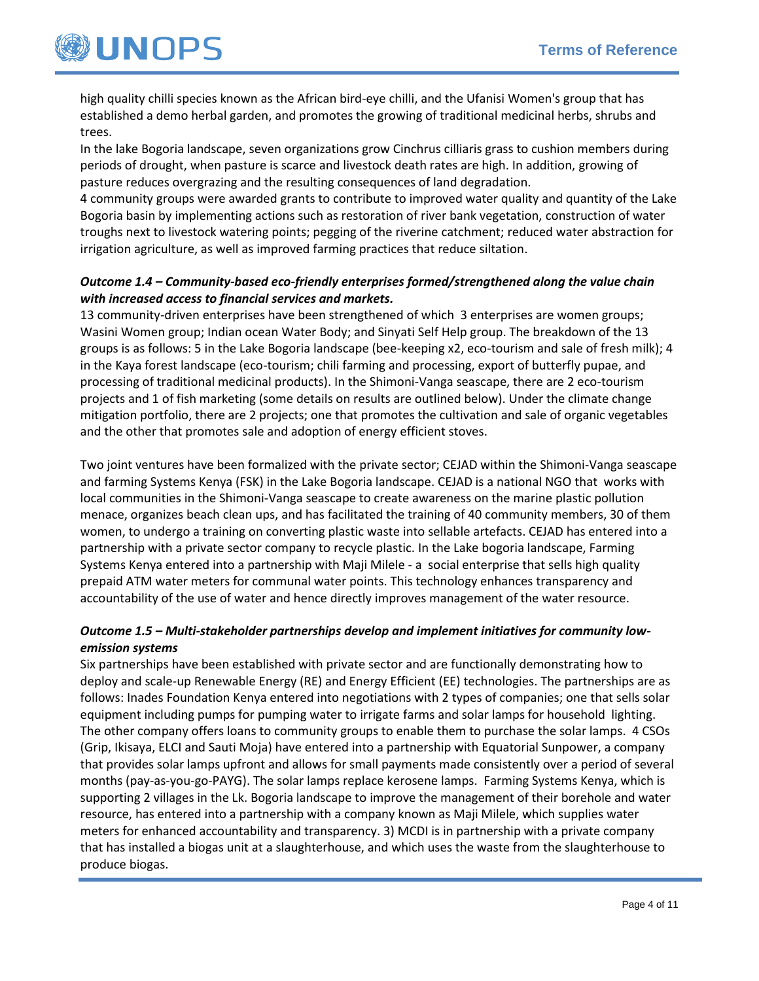

high quality chilli species known as the African bird-eye chilli, and the Ufanisi Women's group that has established a demo herbal garden, and promotes the growing of traditional medicinal herbs, shrubs and trees.

In the lake Bogoria landscape, seven organizations grow Cinchrus cilliaris grass to cushion members during periods of drought, when pasture is scarce and livestock death rates are high. In addition, growing of pasture reduces overgrazing and the resulting consequences of land degradation.

4 community groups were awarded grants to contribute to improved water quality and quantity of the Lake Bogoria basin by implementing actions such as restoration of river bank vegetation, construction of water troughs next to livestock watering points; pegging of the riverine catchment; reduced water abstraction for irrigation agriculture, as well as improved farming practices that reduce siltation.

## *Outcome 1.4 – Community-based eco-friendly enterprises formed/strengthened along the value chain with increased access to financial services and markets.*

13 community-driven enterprises have been strengthened of which 3 enterprises are women groups; Wasini Women group; Indian ocean Water Body; and Sinyati Self Help group. The breakdown of the 13 groups is as follows: 5 in the Lake Bogoria landscape (bee-keeping x2, eco-tourism and sale of fresh milk); 4 in the Kaya forest landscape (eco-tourism; chili farming and processing, export of butterfly pupae, and processing of traditional medicinal products). In the Shimoni-Vanga seascape, there are 2 eco-tourism projects and 1 of fish marketing (some details on results are outlined below). Under the climate change mitigation portfolio, there are 2 projects; one that promotes the cultivation and sale of organic vegetables and the other that promotes sale and adoption of energy efficient stoves.

Two joint ventures have been formalized with the private sector; CEJAD within the Shimoni-Vanga seascape and farming Systems Kenya (FSK) in the Lake Bogoria landscape. CEJAD is a national NGO that works with local communities in the Shimoni-Vanga seascape to create awareness on the marine plastic pollution menace, organizes beach clean ups, and has facilitated the training of 40 community members, 30 of them women, to undergo a training on converting plastic waste into sellable artefacts. CEJAD has entered into a partnership with a private sector company to recycle plastic. In the Lake bogoria landscape, Farming Systems Kenya entered into a partnership with Maji Milele - a social enterprise that sells high quality prepaid ATM water meters for communal water points. This technology enhances transparency and accountability of the use of water and hence directly improves management of the water resource.

## *Outcome 1.5 – Multi-stakeholder partnerships develop and implement initiatives for community lowemission systems*

Six partnerships have been established with private sector and are functionally demonstrating how to deploy and scale-up Renewable Energy (RE) and Energy Efficient (EE) technologies. The partnerships are as follows: Inades Foundation Kenya entered into negotiations with 2 types of companies; one that sells solar equipment including pumps for pumping water to irrigate farms and solar lamps for household lighting. The other company offers loans to community groups to enable them to purchase the solar lamps. 4 CSOs (Grip, Ikisaya, ELCI and Sauti Moja) have entered into a partnership with Equatorial Sunpower, a company that provides solar lamps upfront and allows for small payments made consistently over a period of several months (pay-as-you-go-PAYG). The solar lamps replace kerosene lamps. Farming Systems Kenya, which is supporting 2 villages in the Lk. Bogoria landscape to improve the management of their borehole and water resource, has entered into a partnership with a company known as Maji Milele, which supplies water meters for enhanced accountability and transparency. 3) MCDI is in partnership with a private company that has installed a biogas unit at a slaughterhouse, and which uses the waste from the slaughterhouse to produce biogas.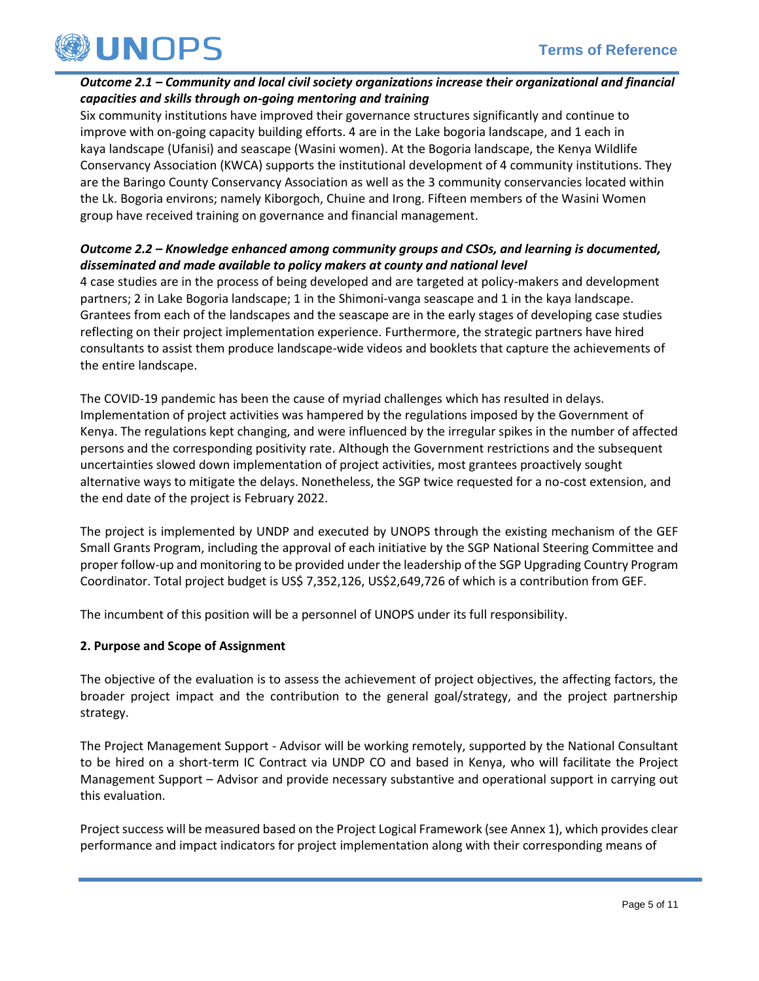

## *Outcome 2.1 – Community and local civil society organizations increase their organizational and financial capacities and skills through on-going mentoring and training*

Six community institutions have improved their governance structures significantly and continue to improve with on-going capacity building efforts. 4 are in the Lake bogoria landscape, and 1 each in kaya landscape (Ufanisi) and seascape (Wasini women). At the Bogoria landscape, the Kenya Wildlife Conservancy Association (KWCA) supports the institutional development of 4 community institutions. They are the Baringo County Conservancy Association as well as the 3 community conservancies located within the Lk. Bogoria environs; namely Kiborgoch, Chuine and Irong. Fifteen members of the Wasini Women group have received training on governance and financial management.

## *Outcome 2.2 – Knowledge enhanced among community groups and CSOs, and learning is documented, disseminated and made available to policy makers at county and national level*

4 case studies are in the process of being developed and are targeted at policy-makers and development partners; 2 in Lake Bogoria landscape; 1 in the Shimoni-vanga seascape and 1 in the kaya landscape. Grantees from each of the landscapes and the seascape are in the early stages of developing case studies reflecting on their project implementation experience. Furthermore, the strategic partners have hired consultants to assist them produce landscape-wide videos and booklets that capture the achievements of the entire landscape.

The COVID-19 pandemic has been the cause of myriad challenges which has resulted in delays. Implementation of project activities was hampered by the regulations imposed by the Government of Kenya. The regulations kept changing, and were influenced by the irregular spikes in the number of affected persons and the corresponding positivity rate. Although the Government restrictions and the subsequent uncertainties slowed down implementation of project activities, most grantees proactively sought alternative ways to mitigate the delays. Nonetheless, the SGP twice requested for a no-cost extension, and the end date of the project is February 2022.

The project is implemented by UNDP and executed by UNOPS through the existing mechanism of the GEF Small Grants Program, including the approval of each initiative by the SGP National Steering Committee and proper follow-up and monitoring to be provided under the leadership of the SGP Upgrading Country Program Coordinator. Total project budget is US\$ 7,352,126, US\$2,649,726 of which is a contribution from GEF.

The incumbent of this position will be a personnel of UNOPS under its full responsibility.

## **2. Purpose and Scope of Assignment**

The objective of the evaluation is to assess the achievement of project objectives, the affecting factors, the broader project impact and the contribution to the general goal/strategy, and the project partnership strategy.

The Project Management Support - Advisor will be working remotely, supported by the National Consultant to be hired on a short-term IC Contract via UNDP CO and based in Kenya, who will facilitate the Project Management Support – Advisor and provide necessary substantive and operational support in carrying out this evaluation.

Project success will be measured based on the Project Logical Framework (see Annex 1), which provides clear performance and impact indicators for project implementation along with their corresponding means of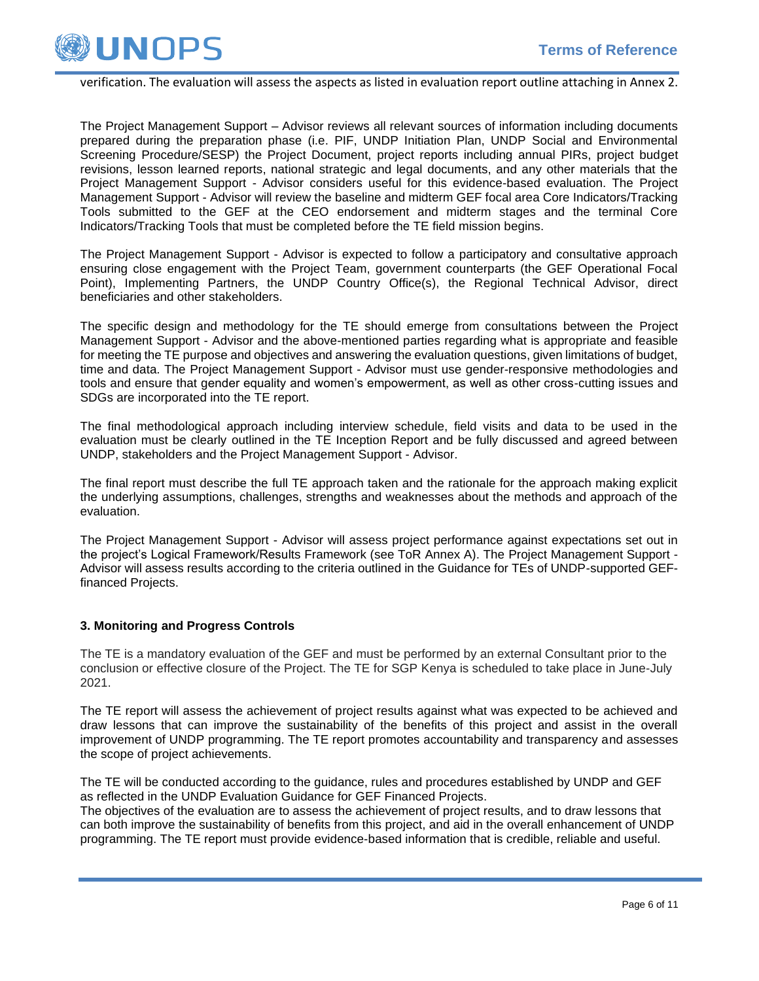

#### verification. The evaluation will assess the aspects as listed in evaluation report outline attaching in Annex 2.

The Project Management Support – Advisor reviews all relevant sources of information including documents prepared during the preparation phase (i.e. PIF, UNDP Initiation Plan, UNDP Social and Environmental Screening Procedure/SESP) the Project Document, project reports including annual PIRs, project budget revisions, lesson learned reports, national strategic and legal documents, and any other materials that the Project Management Support - Advisor considers useful for this evidence-based evaluation. The Project Management Support - Advisor will review the baseline and midterm GEF focal area Core Indicators/Tracking Tools submitted to the GEF at the CEO endorsement and midterm stages and the terminal Core Indicators/Tracking Tools that must be completed before the TE field mission begins.

The Project Management Support - Advisor is expected to follow a participatory and consultative approach ensuring close engagement with the Project Team, government counterparts (the GEF Operational Focal Point), Implementing Partners, the UNDP Country Office(s), the Regional Technical Advisor, direct beneficiaries and other stakeholders.

The specific design and methodology for the TE should emerge from consultations between the Project Management Support - Advisor and the above-mentioned parties regarding what is appropriate and feasible for meeting the TE purpose and objectives and answering the evaluation questions, given limitations of budget, time and data. The Project Management Support - Advisor must use gender-responsive methodologies and tools and ensure that gender equality and women's empowerment, as well as other cross-cutting issues and SDGs are incorporated into the TE report.

The final methodological approach including interview schedule, field visits and data to be used in the evaluation must be clearly outlined in the TE Inception Report and be fully discussed and agreed between UNDP, stakeholders and the Project Management Support - Advisor.

The final report must describe the full TE approach taken and the rationale for the approach making explicit the underlying assumptions, challenges, strengths and weaknesses about the methods and approach of the evaluation.

The Project Management Support - Advisor will assess project performance against expectations set out in the project's Logical Framework/Results Framework (see ToR Annex A). The Project Management Support - Advisor will assess results according to the criteria outlined in the Guidance for TEs of UNDP-supported GEFfinanced Projects.

### **3. Monitoring and Progress Controls**

The TE is a mandatory evaluation of the GEF and must be performed by an external Consultant prior to the conclusion or effective closure of the Project. The TE for SGP Kenya is scheduled to take place in June-July 2021.

The TE report will assess the achievement of project results against what was expected to be achieved and draw lessons that can improve the sustainability of the benefits of this project and assist in the overall improvement of UNDP programming. The TE report promotes accountability and transparency and assesses the scope of project achievements.

The TE will be conducted according to the guidance, rules and procedures established by UNDP and GEF as reflected in the UNDP Evaluation Guidance for GEF Financed Projects.

The objectives of the evaluation are to assess the achievement of project results, and to draw lessons that can both improve the sustainability of benefits from this project, and aid in the overall enhancement of UNDP programming. The TE report must provide evidence-based information that is credible, reliable and useful.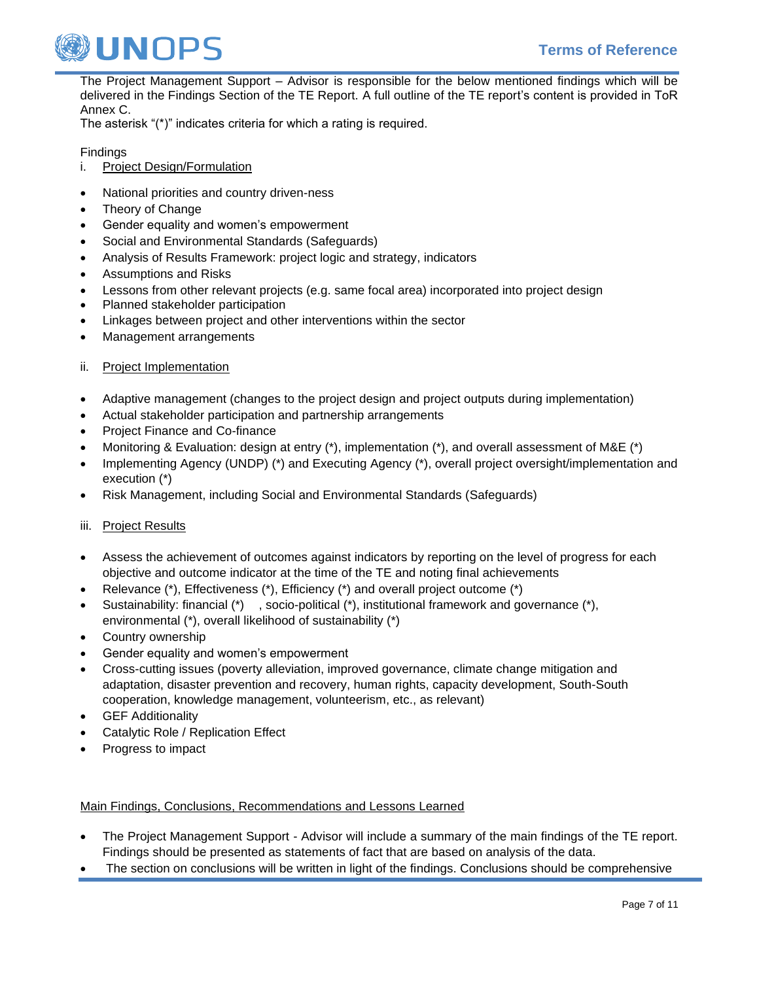

The Project Management Support – Advisor is responsible for the below mentioned findings which will be delivered in the Findings Section of the TE Report. A full outline of the TE report's content is provided in ToR Annex C.

The asterisk "(\*)" indicates criteria for which a rating is required.

## Findings

- i. Project Design/Formulation
- National priorities and country driven-ness
- Theory of Change
- Gender equality and women's empowerment
- Social and Environmental Standards (Safeguards)
- Analysis of Results Framework: project logic and strategy, indicators
- Assumptions and Risks
- Lessons from other relevant projects (e.g. same focal area) incorporated into project design
- Planned stakeholder participation
- Linkages between project and other interventions within the sector
- Management arrangements
- ii. Project Implementation
- Adaptive management (changes to the project design and project outputs during implementation)
- Actual stakeholder participation and partnership arrangements
- Project Finance and Co-finance
- Monitoring & Evaluation: design at entry (\*), implementation (\*), and overall assessment of M&E (\*)
- Implementing Agency (UNDP) (\*) and Executing Agency (\*), overall project oversight/implementation and execution (\*)
- Risk Management, including Social and Environmental Standards (Safeguards)

### iii. Project Results

- Assess the achievement of outcomes against indicators by reporting on the level of progress for each objective and outcome indicator at the time of the TE and noting final achievements
- Relevance (\*), Effectiveness (\*), Efficiency (\*) and overall project outcome (\*)
- Sustainability: financial  $(*)$ , socio-political  $(*)$ , institutional framework and governance  $(*)$ , environmental (\*), overall likelihood of sustainability (\*)
- Country ownership
- Gender equality and women's empowerment
- Cross-cutting issues (poverty alleviation, improved governance, climate change mitigation and adaptation, disaster prevention and recovery, human rights, capacity development, South-South cooperation, knowledge management, volunteerism, etc., as relevant)
- **GEF Additionality**
- Catalytic Role / Replication Effect
- Progress to impact

### Main Findings, Conclusions, Recommendations and Lessons Learned

- The Project Management Support Advisor will include a summary of the main findings of the TE report. Findings should be presented as statements of fact that are based on analysis of the data.
- The section on conclusions will be written in light of the findings. Conclusions should be comprehensive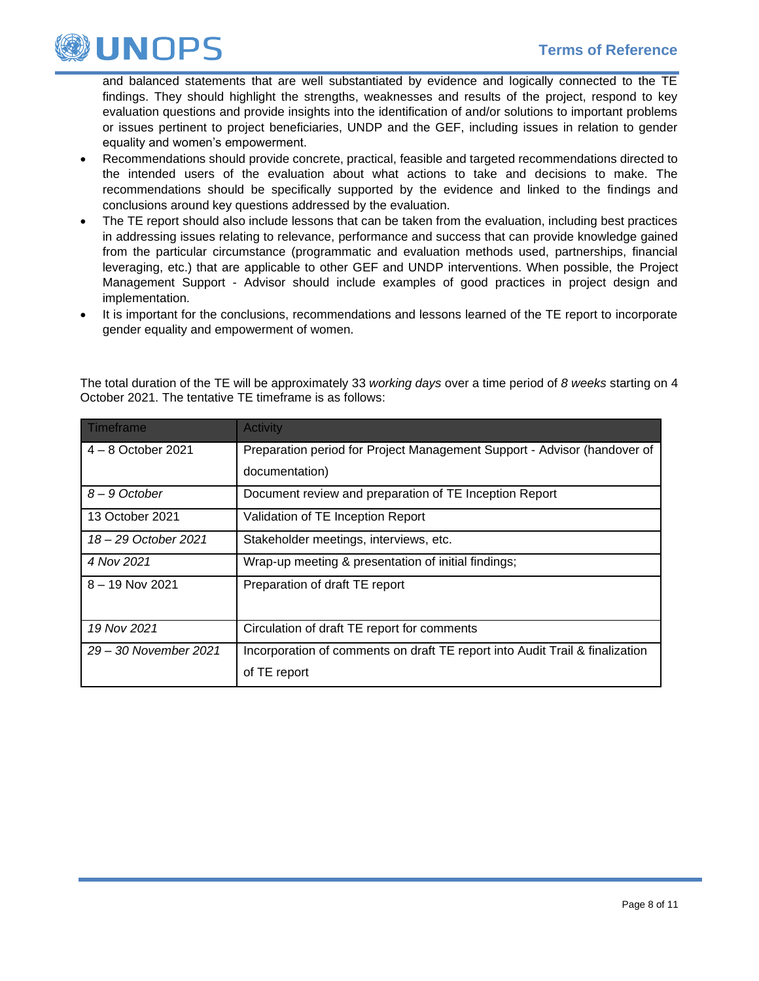

and balanced statements that are well substantiated by evidence and logically connected to the TE findings. They should highlight the strengths, weaknesses and results of the project, respond to key evaluation questions and provide insights into the identification of and/or solutions to important problems or issues pertinent to project beneficiaries, UNDP and the GEF, including issues in relation to gender equality and women's empowerment.

- Recommendations should provide concrete, practical, feasible and targeted recommendations directed to the intended users of the evaluation about what actions to take and decisions to make. The recommendations should be specifically supported by the evidence and linked to the findings and conclusions around key questions addressed by the evaluation.
- The TE report should also include lessons that can be taken from the evaluation, including best practices in addressing issues relating to relevance, performance and success that can provide knowledge gained from the particular circumstance (programmatic and evaluation methods used, partnerships, financial leveraging, etc.) that are applicable to other GEF and UNDP interventions. When possible, the Project Management Support - Advisor should include examples of good practices in project design and implementation.
- It is important for the conclusions, recommendations and lessons learned of the TE report to incorporate gender equality and empowerment of women.

| Timeframe             | <b>Activity</b>                                                              |  |  |  |
|-----------------------|------------------------------------------------------------------------------|--|--|--|
| $4 - 8$ October 2021  | Preparation period for Project Management Support - Advisor (handover of     |  |  |  |
|                       | documentation)                                                               |  |  |  |
| 8-9 October           | Document review and preparation of TE Inception Report                       |  |  |  |
| 13 October 2021       | Validation of TE Inception Report                                            |  |  |  |
| 18 - 29 October 2021  | Stakeholder meetings, interviews, etc.                                       |  |  |  |
| 4 Nov 2021            | Wrap-up meeting & presentation of initial findings;                          |  |  |  |
| $8 - 19$ Nov 2021     | Preparation of draft TE report                                               |  |  |  |
|                       |                                                                              |  |  |  |
| 19 Nov 2021           | Circulation of draft TE report for comments                                  |  |  |  |
| 29 – 30 November 2021 | Incorporation of comments on draft TE report into Audit Trail & finalization |  |  |  |
|                       | of TE report                                                                 |  |  |  |

The total duration of the TE will be approximately 33 *working days* over a time period of *8 weeks* starting on 4 October 2021. The tentative TE timeframe is as follows: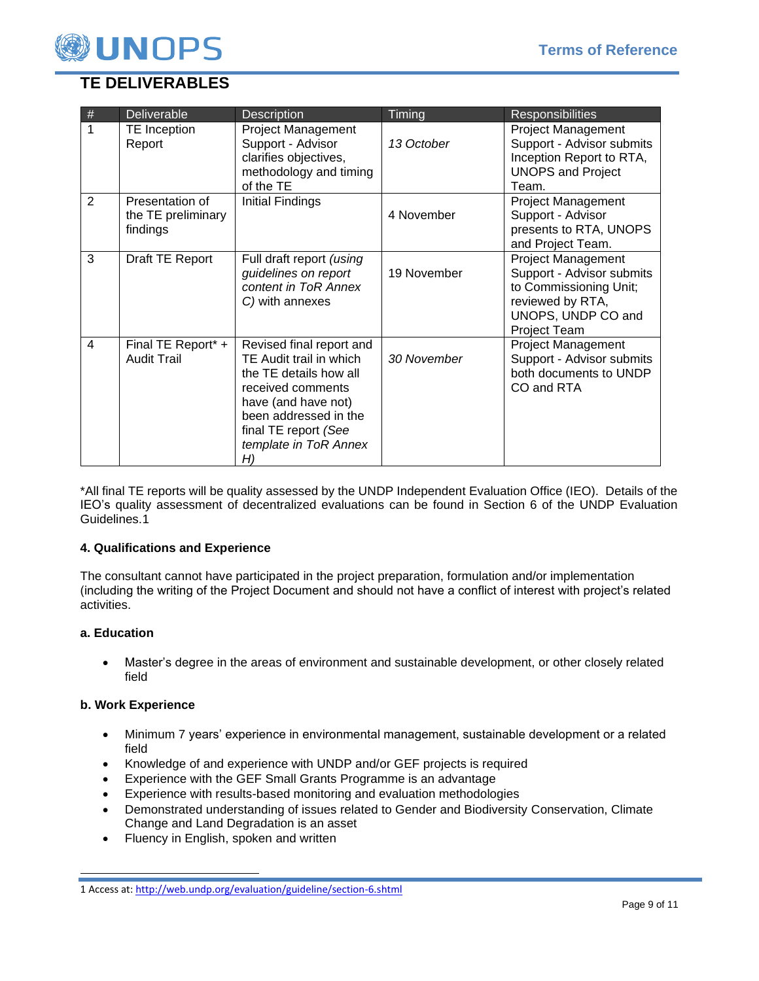

# **TE DELIVERABLES**

| $\#$           | <b>Deliverable</b>                                | <b>Description</b>                                                                                                                                                                                        | Timing      | <b>Responsibilities</b>                                                                                                                    |
|----------------|---------------------------------------------------|-----------------------------------------------------------------------------------------------------------------------------------------------------------------------------------------------------------|-------------|--------------------------------------------------------------------------------------------------------------------------------------------|
| $\mathbf{1}$   | TE Inception<br>Report                            | <b>Project Management</b><br>Support - Advisor<br>clarifies objectives,<br>methodology and timing<br>of the TE                                                                                            | 13 October  | <b>Project Management</b><br>Support - Advisor submits<br>Inception Report to RTA,<br><b>UNOPS and Project</b><br>Team.                    |
| $\overline{2}$ | Presentation of<br>the TE preliminary<br>findings | Initial Findings                                                                                                                                                                                          | 4 November  | <b>Project Management</b><br>Support - Advisor<br>presents to RTA, UNOPS<br>and Project Team.                                              |
| 3              | Draft TE Report                                   | Full draft report (using<br>guidelines on report<br>content in ToR Annex<br>C) with annexes                                                                                                               | 19 November | <b>Project Management</b><br>Support - Advisor submits<br>to Commissioning Unit;<br>reviewed by RTA,<br>UNOPS, UNDP CO and<br>Project Team |
| $\overline{4}$ | Final TE Report* +<br><b>Audit Trail</b>          | Revised final report and<br>TE Audit trail in which<br>the TE details how all<br>received comments<br>have (and have not)<br>been addressed in the<br>final TE report (See<br>template in ToR Annex<br>H) | 30 November | <b>Project Management</b><br>Support - Advisor submits<br>both documents to UNDP<br>CO and RTA                                             |

\*All final TE reports will be quality assessed by the UNDP Independent Evaluation Office (IEO). Details of the IEO's quality assessment of decentralized evaluations can be found in Section 6 of the UNDP Evaluation Guidelines.1

## **4. Qualifications and Experience**

The consultant cannot have participated in the project preparation, formulation and/or implementation (including the writing of the Project Document and should not have a conflict of interest with project's related activities.

## **a. Education**

• Master's degree in the areas of environment and sustainable development, or other closely related field

### **b. Work Experience**

- Minimum 7 years' experience in environmental management, sustainable development or a related field
- Knowledge of and experience with UNDP and/or GEF projects is required
- Experience with the GEF Small Grants Programme is an advantage
- Experience with results-based monitoring and evaluation methodologies
- Demonstrated understanding of issues related to Gender and Biodiversity Conservation, Climate Change and Land Degradation is an asset
- Fluency in English, spoken and written

<sup>1</sup> Access at[: http://web.undp.org/evaluation/guideline/section-6.shtml](http://web.undp.org/evaluation/guideline/section-6.shtml)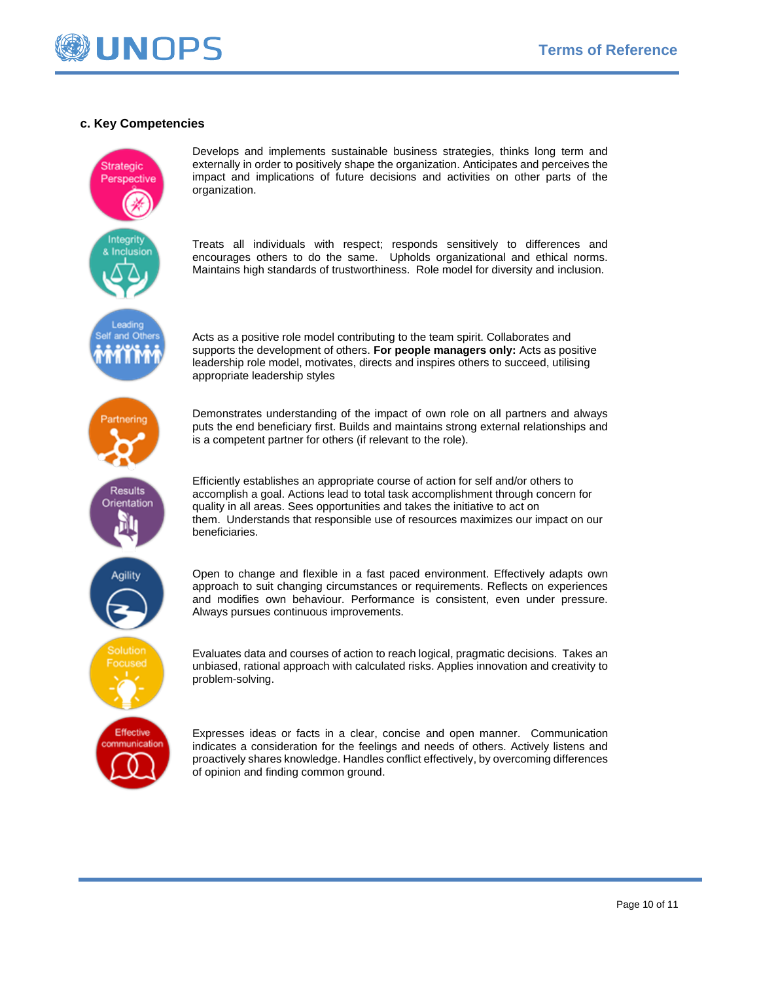

#### **c. Key Competencies**



Develops and implements sustainable business strategies, thinks long term and externally in order to positively shape the organization. Anticipates and perceives the impact and implications of future decisions and activities on other parts of the organization.

Treats all individuals with respect; responds sensitively to differences and encourages others to do the same. Upholds organizational and ethical norms. Maintains high standards of trustworthiness. Role model for diversity and inclusion.

Acts as a positive role model contributing to the team spirit. Collaborates and supports the development of others. **For people managers only:** Acts as positive leadership role model, motivates, directs and inspires others to succeed, utilising appropriate leadership styles

Demonstrates understanding of the impact of own role on all partners and always puts the end beneficiary first. Builds and maintains strong external relationships and is a competent partner for others (if relevant to the role).

Efficiently establishes an appropriate course of action for self and/or others to accomplish a goal. Actions lead to total task accomplishment through concern for quality in all areas. Sees opportunities and takes the initiative to act on them. Understands that responsible use of resources maximizes our impact on our beneficiaries.

Open to change and flexible in a fast paced environment. Effectively adapts own approach to suit changing circumstances or requirements. Reflects on experiences and modifies own behaviour. Performance is consistent, even under pressure. Always pursues continuous improvements.

Evaluates data and courses of action to reach logical, pragmatic decisions. Takes an unbiased, rational approach with calculated risks. Applies innovation and creativity to problem-solving.

Expresses ideas or facts in a clear, concise and open manner. Communication indicates a consideration for the feelings and needs of others. Actively listens and proactively shares knowledge. Handles conflict effectively, by overcoming differences of opinion and finding common ground.